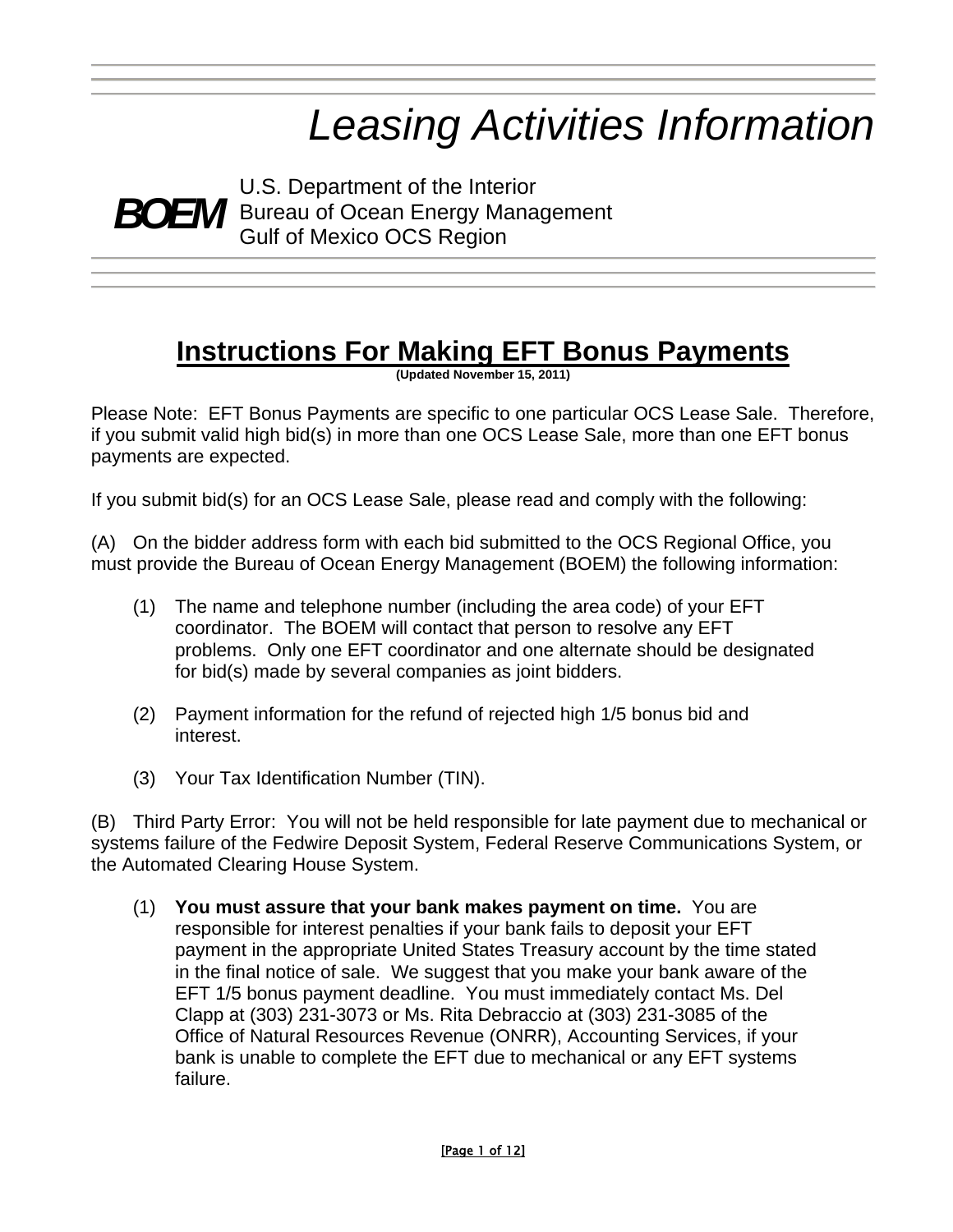# *Leasing Activities Information*

U.S. Department of the Interior<br>*BOEM* Bureau of Ocean Energy Manage Bureau of Ocean Energy Management Gulf of Mexico OCS Region

# **Instructions For Making EFT Bonus Payments**

**(Updated November 15, 2011)** 

Please Note: EFT Bonus Payments are specific to one particular OCS Lease Sale. Therefore, if you submit valid high bid(s) in more than one OCS Lease Sale, more than one EFT bonus payments are expected.

If you submit bid(s) for an OCS Lease Sale, please read and comply with the following:

(A) On the bidder address form with each bid submitted to the OCS Regional Office, you must provide the Bureau of Ocean Energy Management (BOEM) the following information:

- (1) The name and telephone number (including the area code) of your EFT coordinator. The BOEM will contact that person to resolve any EFT problems. Only one EFT coordinator and one alternate should be designated for bid(s) made by several companies as joint bidders.
- (2) Payment information for the refund of rejected high 1/5 bonus bid and interest.
- (3) Your Tax Identification Number (TIN).

(B) Third Party Error: You will not be held responsible for late payment due to mechanical or systems failure of the Fedwire Deposit System, Federal Reserve Communications System, or the Automated Clearing House System.

(1) **You must assure that your bank makes payment on time.** You are responsible for interest penalties if your bank fails to deposit your EFT payment in the appropriate United States Treasury account by the time stated in the final notice of sale. We suggest that you make your bank aware of the EFT 1/5 bonus payment deadline. You must immediately contact Ms. Del Clapp at (303) 231-3073 or Ms. Rita Debraccio at (303) 231-3085 of the Office of Natural Resources Revenue (ONRR), Accounting Services, if your bank is unable to complete the EFT due to mechanical or any EFT systems failure.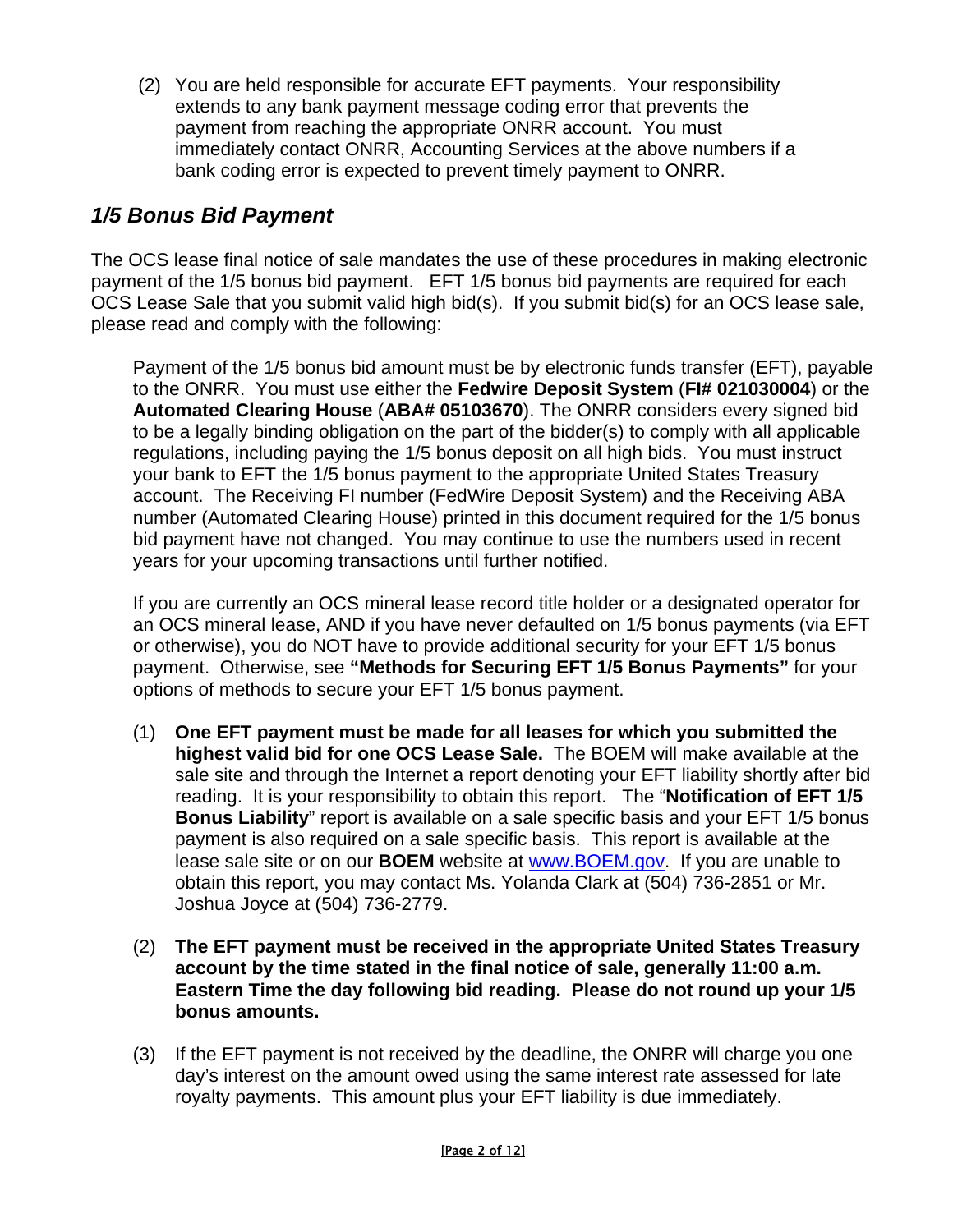(2) You are held responsible for accurate EFT payments. Your responsibility extends to any bank payment message coding error that prevents the payment from reaching the appropriate ONRR account. You must immediately contact ONRR, Accounting Services at the above numbers if a bank coding error is expected to prevent timely payment to ONRR.

# *1/5 Bonus Bid Payment*

The OCS lease final notice of sale mandates the use of these procedures in making electronic payment of the 1/5 bonus bid payment. EFT 1/5 bonus bid payments are required for each OCS Lease Sale that you submit valid high bid(s). If you submit bid(s) for an OCS lease sale, please read and comply with the following:

Payment of the 1/5 bonus bid amount must be by electronic funds transfer (EFT), payable to the ONRR. You must use either the **Fedwire Deposit System** (**FI# 021030004**) or the **Automated Clearing House** (**ABA# 05103670**). The ONRR considers every signed bid to be a legally binding obligation on the part of the bidder(s) to comply with all applicable regulations, including paying the 1/5 bonus deposit on all high bids. You must instruct your bank to EFT the 1/5 bonus payment to the appropriate United States Treasury account. The Receiving FI number (FedWire Deposit System) and the Receiving ABA number (Automated Clearing House) printed in this document required for the 1/5 bonus bid payment have not changed. You may continue to use the numbers used in recent years for your upcoming transactions until further notified.

If you are currently an OCS mineral lease record title holder or a designated operator for an OCS mineral lease, AND if you have never defaulted on 1/5 bonus payments (via EFT or otherwise), you do NOT have to provide additional security for your EFT 1/5 bonus payment. Otherwise, see **"Methods for Securing EFT 1/5 Bonus Payments"** for your options of methods to secure your EFT 1/5 bonus payment.

- (1) **One EFT payment must be made for all leases for which you submitted the highest valid bid for one OCS Lease Sale.** The BOEM will make available at the sale site and through the Internet a report denoting your EFT liability shortly after bid reading. It is your responsibility to obtain this report. The "**Notification of EFT 1/5 Bonus Liability**" report is available on a sale specific basis and your EFT 1/5 bonus payment is also required on a sale specific basis. This report is available at the lease sale site or on our **BOEM** website at [www.BOEM.gov](http://www.boem.gov/). If you are unable to obtain this report, you may contact Ms. Yolanda Clark at (504) 736-2851 or Mr. Joshua Joyce at (504) 736-2779.
- (2) **The EFT payment must be received in the appropriate United States Treasury account by the time stated in the final notice of sale, generally 11:00 a.m. Eastern Time the day following bid reading. Please do not round up your 1/5 bonus amounts.**
- (3) If the EFT payment is not received by the deadline, the ONRR will charge you one day's interest on the amount owed using the same interest rate assessed for late royalty payments. This amount plus your EFT liability is due immediately.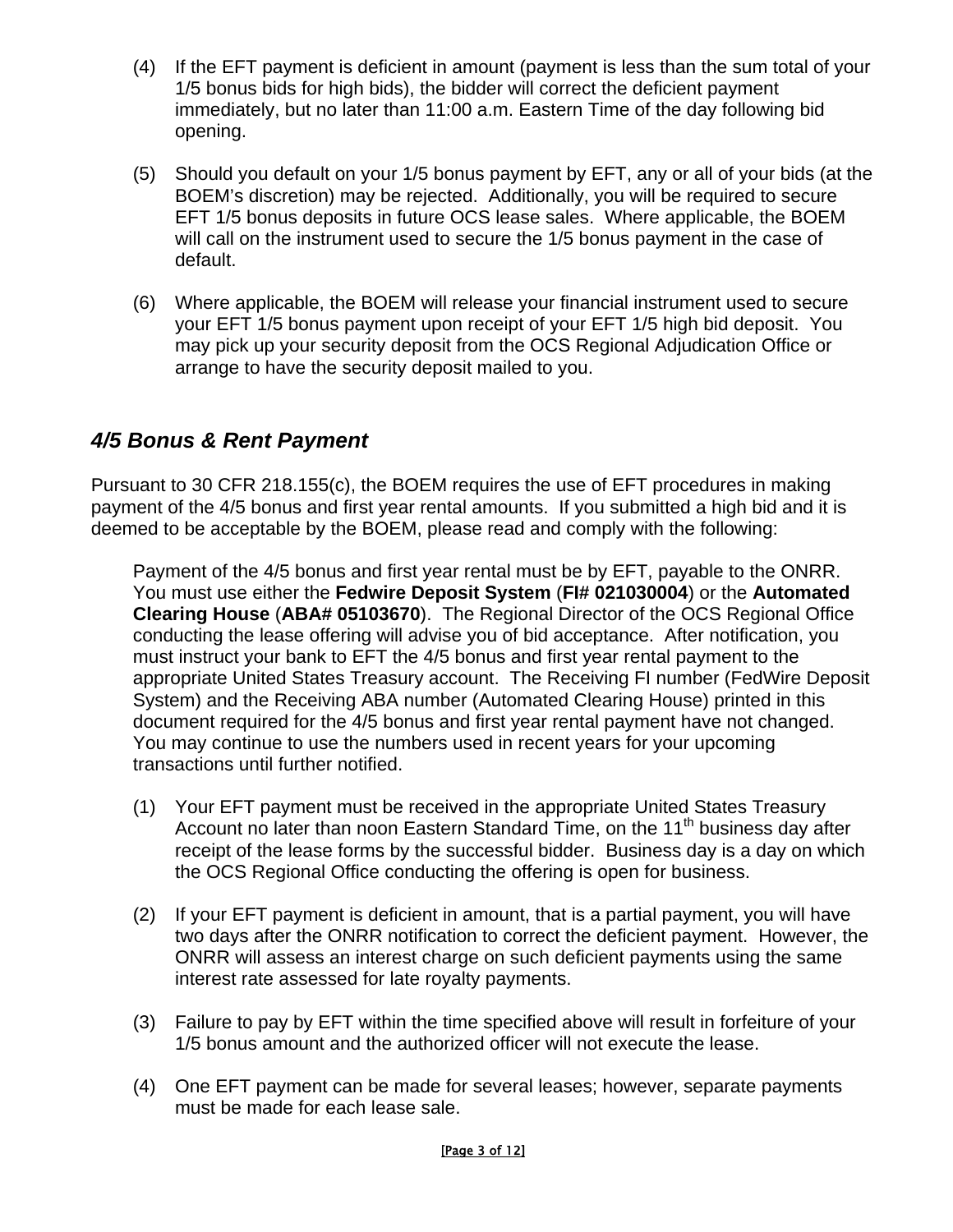- (4) If the EFT payment is deficient in amount (payment is less than the sum total of your 1/5 bonus bids for high bids), the bidder will correct the deficient payment immediately, but no later than 11:00 a.m. Eastern Time of the day following bid opening.
- (5) Should you default on your 1/5 bonus payment by EFT, any or all of your bids (at the BOEM's discretion) may be rejected. Additionally, you will be required to secure EFT 1/5 bonus deposits in future OCS lease sales. Where applicable, the BOEM will call on the instrument used to secure the 1/5 bonus payment in the case of default.
- (6) Where applicable, the BOEM will release your financial instrument used to secure your EFT 1/5 bonus payment upon receipt of your EFT 1/5 high bid deposit. You may pick up your security deposit from the OCS Regional Adjudication Office or arrange to have the security deposit mailed to you.

### *4/5 Bonus & Rent Payment*

Pursuant to 30 CFR 218.155(c), the BOEM requires the use of EFT procedures in making payment of the 4/5 bonus and first year rental amounts. If you submitted a high bid and it is deemed to be acceptable by the BOEM, please read and comply with the following:

Payment of the 4/5 bonus and first year rental must be by EFT, payable to the ONRR. You must use either the **Fedwire Deposit System** (**FI# 021030004**) or the **Automated Clearing House** (**ABA# 05103670**). The Regional Director of the OCS Regional Office conducting the lease offering will advise you of bid acceptance. After notification, you must instruct your bank to EFT the 4/5 bonus and first year rental payment to the appropriate United States Treasury account. The Receiving FI number (FedWire Deposit System) and the Receiving ABA number (Automated Clearing House) printed in this document required for the 4/5 bonus and first year rental payment have not changed. You may continue to use the numbers used in recent years for your upcoming transactions until further notified.

- (1) Your EFT payment must be received in the appropriate United States Treasury Account no later than noon Eastern Standard Time, on the  $11<sup>th</sup>$  business day after receipt of the lease forms by the successful bidder. Business day is a day on which the OCS Regional Office conducting the offering is open for business.
- (2) If your EFT payment is deficient in amount, that is a partial payment, you will have two days after the ONRR notification to correct the deficient payment. However, the ONRR will assess an interest charge on such deficient payments using the same interest rate assessed for late royalty payments.
- (3) Failure to pay by EFT within the time specified above will result in forfeiture of your 1/5 bonus amount and the authorized officer will not execute the lease.
- (4) One EFT payment can be made for several leases; however, separate payments must be made for each lease sale.

#### [Page 3 of 12]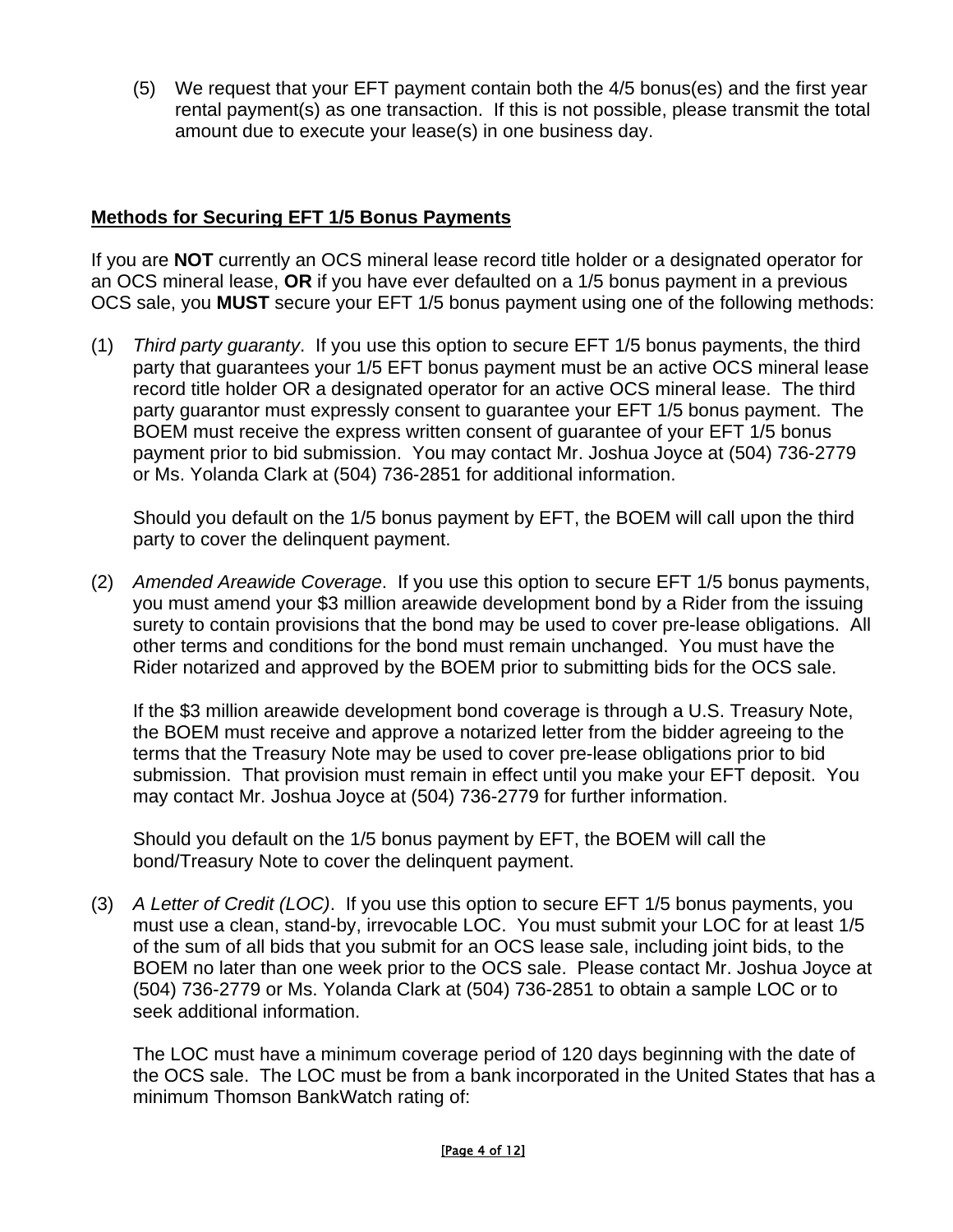(5) We request that your EFT payment contain both the 4/5 bonus(es) and the first year rental payment(s) as one transaction. If this is not possible, please transmit the total amount due to execute your lease(s) in one business day.

#### **Methods for Securing EFT 1/5 Bonus Payments**

If you are **NOT** currently an OCS mineral lease record title holder or a designated operator for an OCS mineral lease, **OR** if you have ever defaulted on a 1/5 bonus payment in a previous OCS sale, you **MUST** secure your EFT 1/5 bonus payment using one of the following methods:

(1) *Third party guaranty*. If you use this option to secure EFT 1/5 bonus payments, the third party that guarantees your 1/5 EFT bonus payment must be an active OCS mineral lease record title holder OR a designated operator for an active OCS mineral lease. The third party guarantor must expressly consent to guarantee your EFT 1/5 bonus payment. The BOEM must receive the express written consent of guarantee of your EFT 1/5 bonus payment prior to bid submission. You may contact Mr. Joshua Joyce at (504) 736-2779 or Ms. Yolanda Clark at (504) 736-2851 for additional information.

Should you default on the 1/5 bonus payment by EFT, the BOEM will call upon the third party to cover the delinquent payment.

(2) *Amended Areawide Coverage*. If you use this option to secure EFT 1/5 bonus payments, you must amend your \$3 million areawide development bond by a Rider from the issuing surety to contain provisions that the bond may be used to cover pre-lease obligations. All other terms and conditions for the bond must remain unchanged. You must have the Rider notarized and approved by the BOEM prior to submitting bids for the OCS sale.

If the \$3 million areawide development bond coverage is through a U.S. Treasury Note, the BOEM must receive and approve a notarized letter from the bidder agreeing to the terms that the Treasury Note may be used to cover pre-lease obligations prior to bid submission. That provision must remain in effect until you make your EFT deposit. You may contact Mr. Joshua Joyce at (504) 736-2779 for further information.

Should you default on the 1/5 bonus payment by EFT, the BOEM will call the bond/Treasury Note to cover the delinquent payment.

(3) *A Letter of Credit (LOC)*. If you use this option to secure EFT 1/5 bonus payments, you must use a clean, stand-by, irrevocable LOC. You must submit your LOC for at least 1/5 of the sum of all bids that you submit for an OCS lease sale, including joint bids, to the BOEM no later than one week prior to the OCS sale. Please contact Mr. Joshua Joyce at (504) 736-2779 or Ms. Yolanda Clark at (504) 736-2851 to obtain a sample LOC or to seek additional information.

The LOC must have a minimum coverage period of 120 days beginning with the date of the OCS sale. The LOC must be from a bank incorporated in the United States that has a minimum Thomson BankWatch rating of:

#### [Page 4 of 12]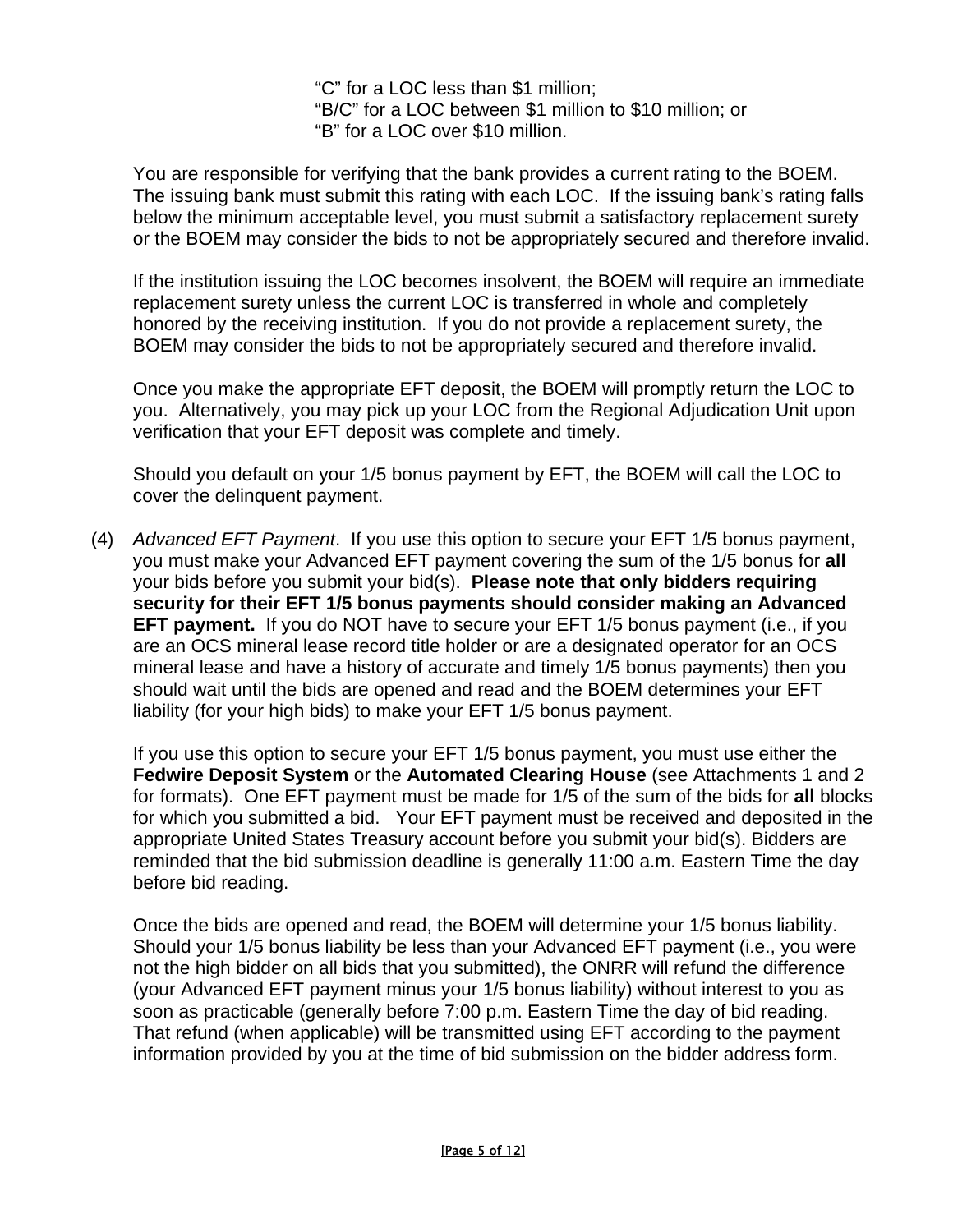"C" for a LOC less than \$1 million; "B/C" for a LOC between \$1 million to \$10 million; or "B" for a LOC over \$10 million.

You are responsible for verifying that the bank provides a current rating to the BOEM. The issuing bank must submit this rating with each LOC. If the issuing bank's rating falls below the minimum acceptable level, you must submit a satisfactory replacement surety or the BOEM may consider the bids to not be appropriately secured and therefore invalid.

If the institution issuing the LOC becomes insolvent, the BOEM will require an immediate replacement surety unless the current LOC is transferred in whole and completely honored by the receiving institution. If you do not provide a replacement surety, the BOEM may consider the bids to not be appropriately secured and therefore invalid.

Once you make the appropriate EFT deposit, the BOEM will promptly return the LOC to you. Alternatively, you may pick up your LOC from the Regional Adjudication Unit upon verification that your EFT deposit was complete and timely.

Should you default on your 1/5 bonus payment by EFT, the BOEM will call the LOC to cover the delinquent payment.

(4) *Advanced EFT Payment*. If you use this option to secure your EFT 1/5 bonus payment, you must make your Advanced EFT payment covering the sum of the 1/5 bonus for **all** your bids before you submit your bid(s). **Please note that only bidders requiring security for their EFT 1/5 bonus payments should consider making an Advanced EFT payment.** If you do NOT have to secure your EFT 1/5 bonus payment (i.e., if you are an OCS mineral lease record title holder or are a designated operator for an OCS mineral lease and have a history of accurate and timely 1/5 bonus payments) then you should wait until the bids are opened and read and the BOEM determines your EFT liability (for your high bids) to make your EFT 1/5 bonus payment.

If you use this option to secure your EFT 1/5 bonus payment, you must use either the **Fedwire Deposit System** or the **Automated Clearing House** (see Attachments 1 and 2 for formats). One EFT payment must be made for 1/5 of the sum of the bids for **all** blocks for which you submitted a bid. Your EFT payment must be received and deposited in the appropriate United States Treasury account before you submit your bid(s). Bidders are reminded that the bid submission deadline is generally 11:00 a.m. Eastern Time the day before bid reading.

Once the bids are opened and read, the BOEM will determine your 1/5 bonus liability. Should your 1/5 bonus liability be less than your Advanced EFT payment (i.e., you were not the high bidder on all bids that you submitted), the ONRR will refund the difference (your Advanced EFT payment minus your 1/5 bonus liability) without interest to you as soon as practicable (generally before 7:00 p.m. Eastern Time the day of bid reading. That refund (when applicable) will be transmitted using EFT according to the payment information provided by you at the time of bid submission on the bidder address form.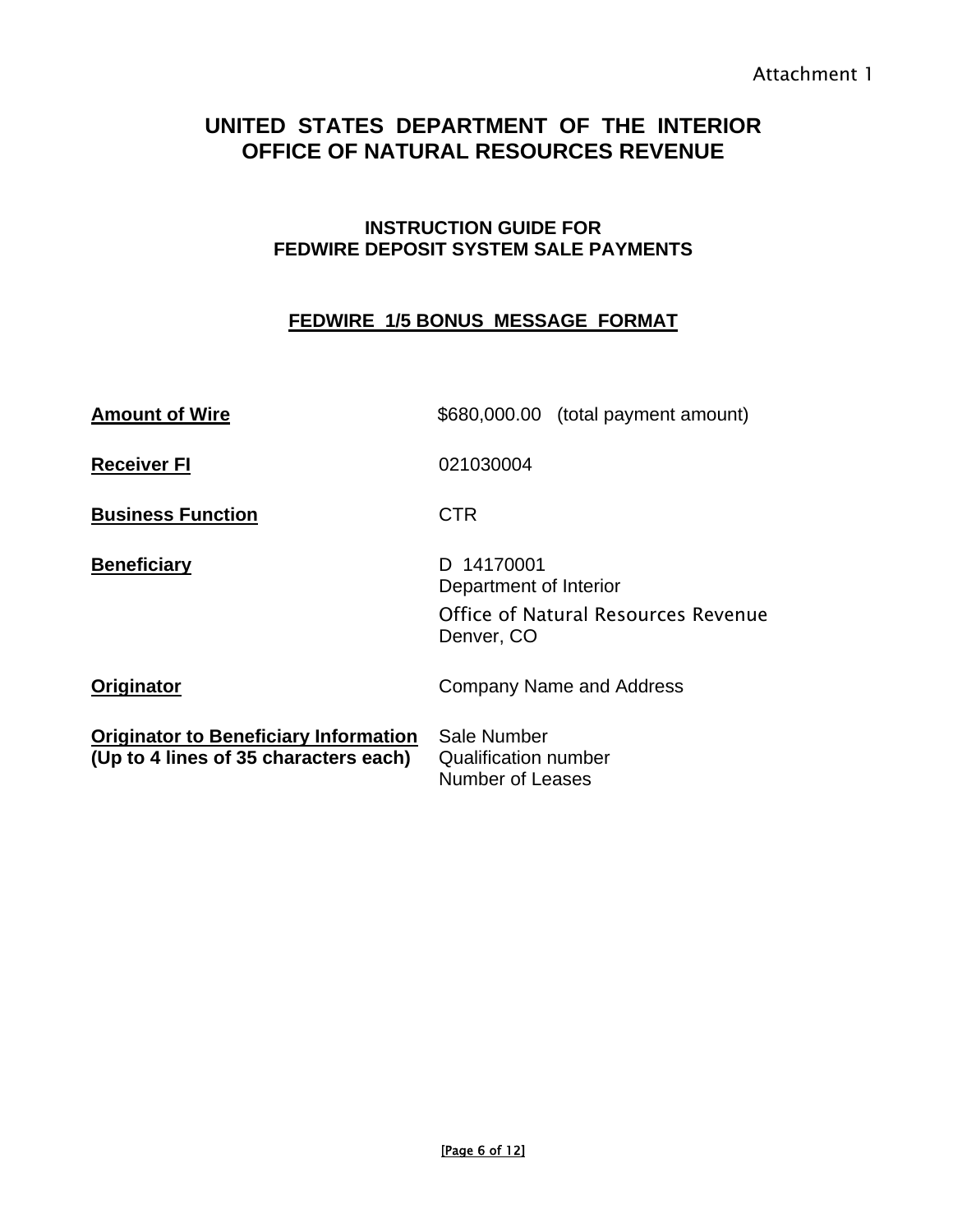# **UNITED STATES DEPARTMENT OF THE INTERIOR OFFICE OF NATURAL RESOURCES REVENUE**

#### **INSTRUCTION GUIDE FOR FEDWIRE DEPOSIT SYSTEM SALE PAYMENTS**

#### **FEDWIRE 1/5 BONUS MESSAGE FORMAT**

| <b>Amount of Wire</b>                                                                 | \$680,000.00 (total payment amount)                                                       |
|---------------------------------------------------------------------------------------|-------------------------------------------------------------------------------------------|
| <b>Receiver FI</b>                                                                    | 021030004                                                                                 |
| <b>Business Function</b>                                                              | <b>CTR</b>                                                                                |
| <b>Beneficiary</b>                                                                    | D 14170001<br>Department of Interior<br>Office of Natural Resources Revenue<br>Denver, CO |
| Originator                                                                            | Company Name and Address                                                                  |
| <b>Originator to Beneficiary Information</b><br>(Up to 4 lines of 35 characters each) | Sale Number<br><b>Qualification number</b><br>Number of Leases                            |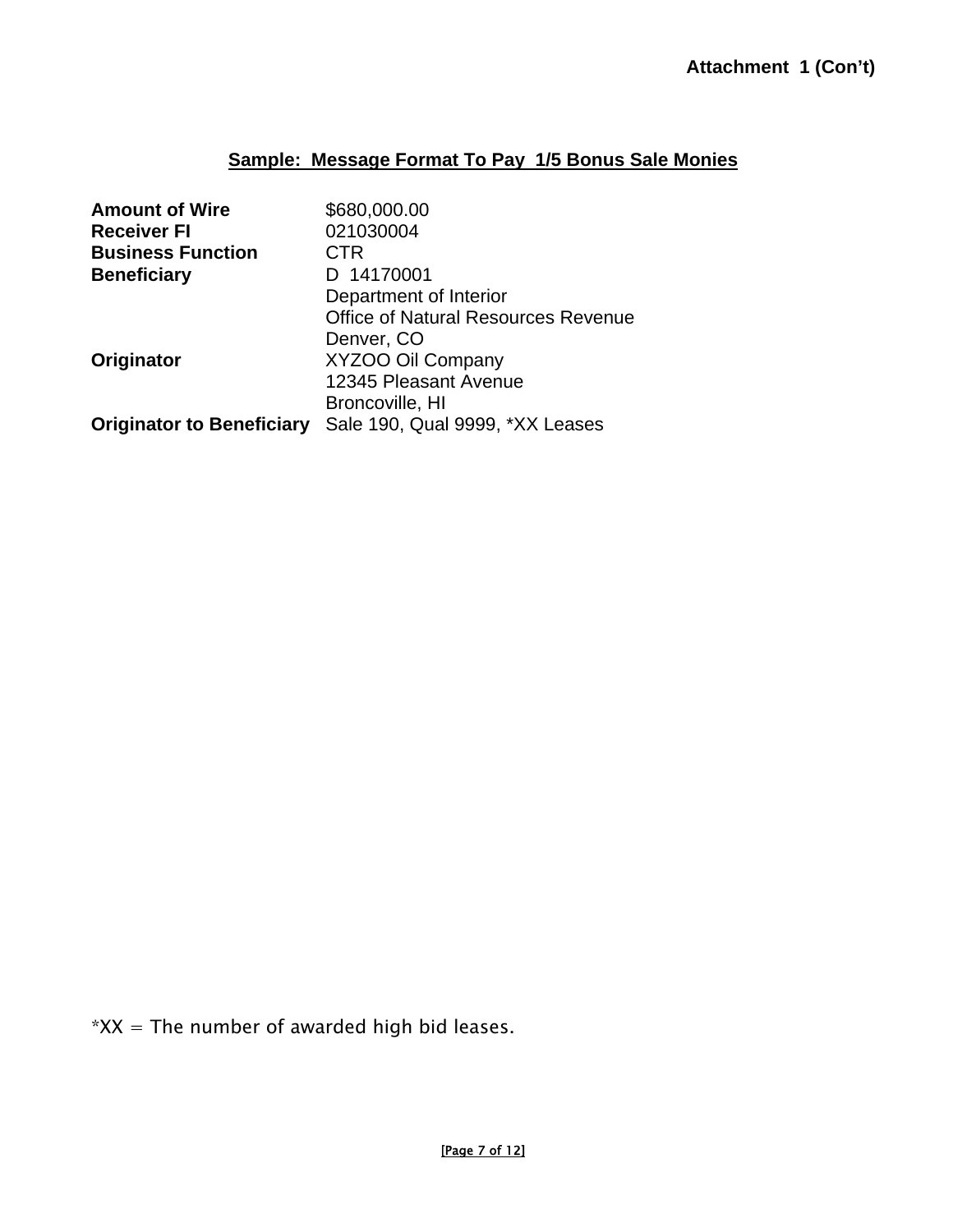#### **Sample: Message Format To Pay 1/5 Bonus Sale Monies**

| <b>Amount of Wire</b>            | \$680,000.00                               |
|----------------------------------|--------------------------------------------|
| <b>Receiver FI</b>               | 021030004                                  |
| <b>Business Function</b>         | CTR                                        |
| <b>Beneficiary</b>               | D 14170001                                 |
|                                  | Department of Interior                     |
|                                  | <b>Office of Natural Resources Revenue</b> |
|                                  | Denver, CO                                 |
| Originator                       | XYZOO Oil Company                          |
|                                  | 12345 Pleasant Avenue                      |
|                                  | Broncoville, HI                            |
| <b>Originator to Beneficiary</b> | Sale 190, Qual 9999, *XX Leases            |

 $*XX$  = The number of awarded high bid leases.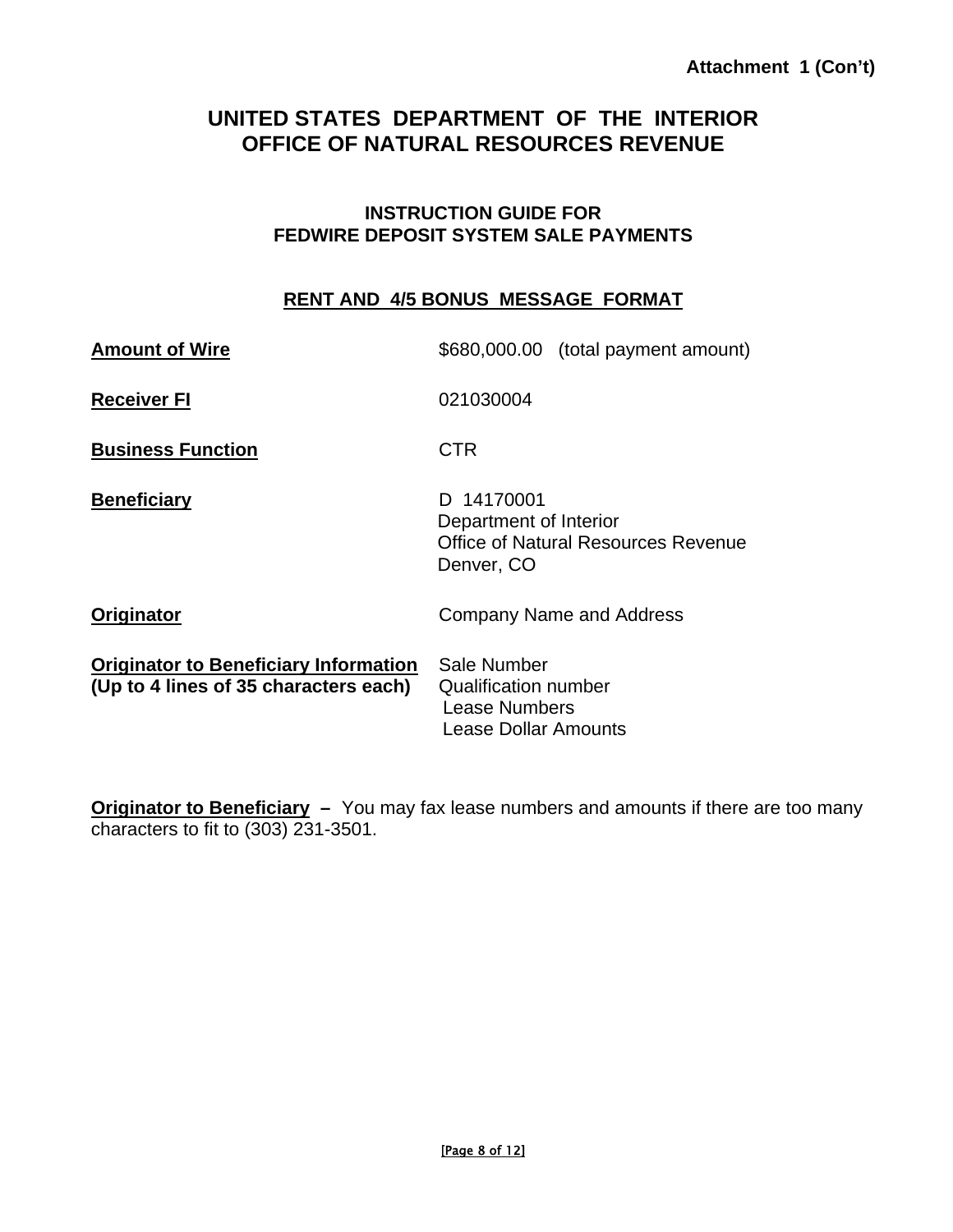# **UNITED STATES DEPARTMENT OF THE INTERIOR OFFICE OF NATURAL RESOURCES REVENUE**

#### **INSTRUCTION GUIDE FOR FEDWIRE DEPOSIT SYSTEM SALE PAYMENTS**

#### **RENT AND 4/5 BONUS MESSAGE FORMAT**

| <b>Amount of Wire</b>                                                                 | \$680,000.00 (total payment amount)                                                              |
|---------------------------------------------------------------------------------------|--------------------------------------------------------------------------------------------------|
| <b>Receiver FI</b>                                                                    | 021030004                                                                                        |
| <b>Business Function</b>                                                              | <b>CTR</b>                                                                                       |
| <b>Beneficiary</b>                                                                    | D 14170001<br>Department of Interior<br><b>Office of Natural Resources Revenue</b><br>Denver, CO |
| Originator                                                                            | Company Name and Address                                                                         |
| <b>Originator to Beneficiary Information</b><br>(Up to 4 lines of 35 characters each) | Sale Number<br>Qualification number<br>Lease Numbers<br>Lease Dollar Amounts                     |

**Originator to Beneficiary –** You may fax lease numbers and amounts if there are too many characters to fit to (303) 231-3501.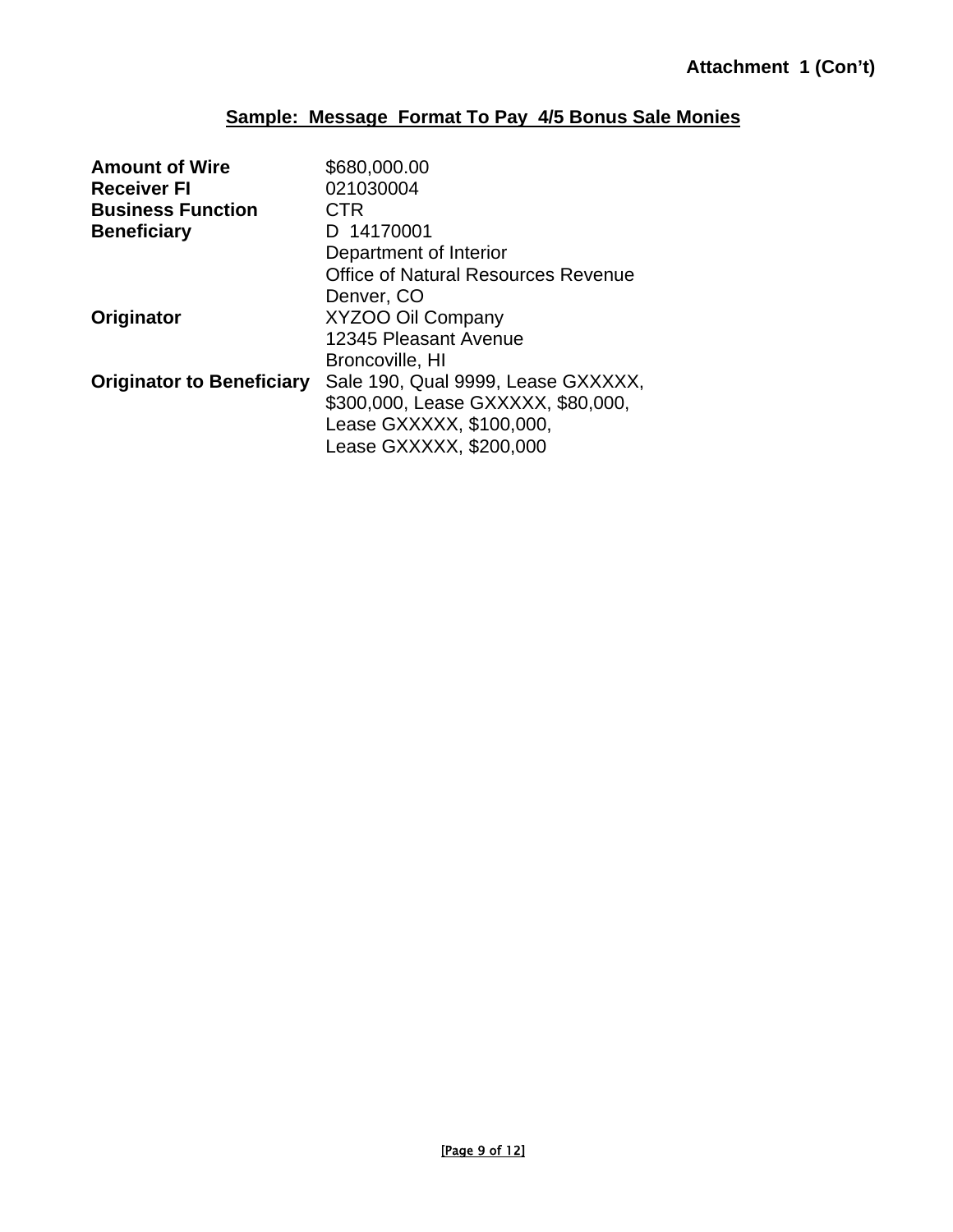#### **Sample: Message Format To Pay 4/5 Bonus Sale Monies**

| <b>Amount of Wire</b>            | \$680,000.00                        |
|----------------------------------|-------------------------------------|
| <b>Receiver FI</b>               | 021030004                           |
| <b>Business Function</b>         | CTR                                 |
| <b>Beneficiary</b>               | D 14170001                          |
|                                  | Department of Interior              |
|                                  | Office of Natural Resources Revenue |
|                                  | Denver, CO                          |
| Originator                       | XYZOO Oil Company                   |
|                                  | 12345 Pleasant Avenue               |
|                                  | Broncoville, HI                     |
| <b>Originator to Beneficiary</b> | Sale 190, Qual 9999, Lease GXXXXX.  |
|                                  | \$300,000, Lease GXXXXX, \$80,000,  |
|                                  | Lease GXXXXX, \$100,000,            |
|                                  | Lease GXXXXX, \$200,000             |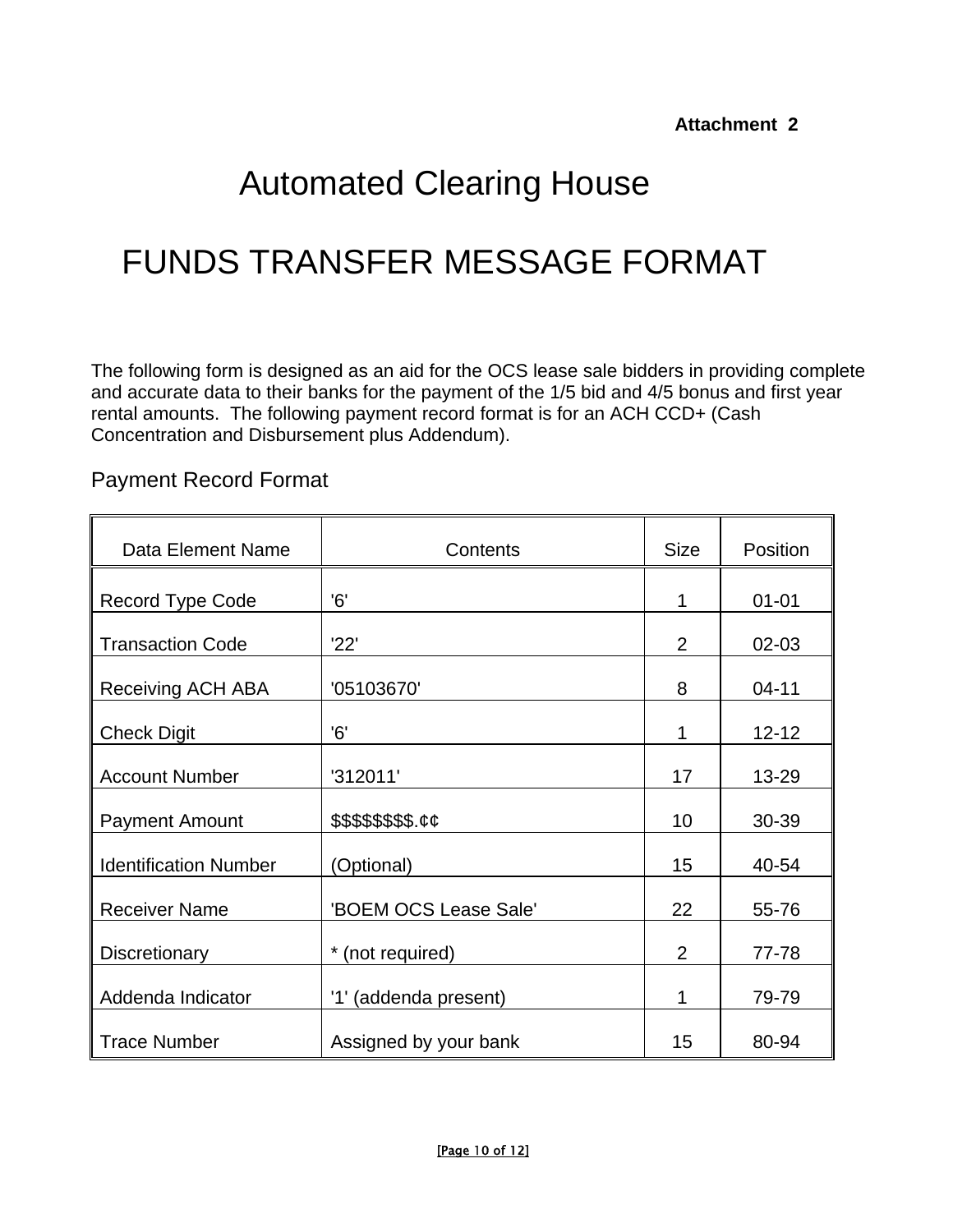# Automated Clearing House

# FUNDS TRANSFER MESSAGE FORMAT

The following form is designed as an aid for the OCS lease sale bidders in providing complete and accurate data to their banks for the payment of the 1/5 bid and 4/5 bonus and first year rental amounts. The following payment record format is for an ACH CCD+ (Cash Concentration and Disbursement plus Addendum).

Payment Record Format

| Data Element Name            | Contents              | <b>Size</b> | Position  |
|------------------------------|-----------------------|-------------|-----------|
| <b>Record Type Code</b>      | 6'                    | 1           | $01 - 01$ |
| <b>Transaction Code</b>      | '22'                  | 2           | 02-03     |
| <b>Receiving ACH ABA</b>     | '05103670'            | 8           | $04 - 11$ |
| <b>Check Digit</b>           | 6'                    | 1           | $12 - 12$ |
| <b>Account Number</b>        | '312011'              | 17          | 13-29     |
| <b>Payment Amount</b>        | \$\$\$\$\$\$\$\$.cc   | 10          | 30-39     |
| <b>Identification Number</b> | (Optional)            | 15          | 40-54     |
| <b>Receiver Name</b>         | 'BOEM OCS Lease Sale' | 22          | 55-76     |
| Discretionary                | *<br>(not required)   | 2           | 77-78     |
| Addenda Indicator            | '1' (addenda present) | 1           | 79-79     |
| <b>Trace Number</b>          | Assigned by your bank | 15          | 80-94     |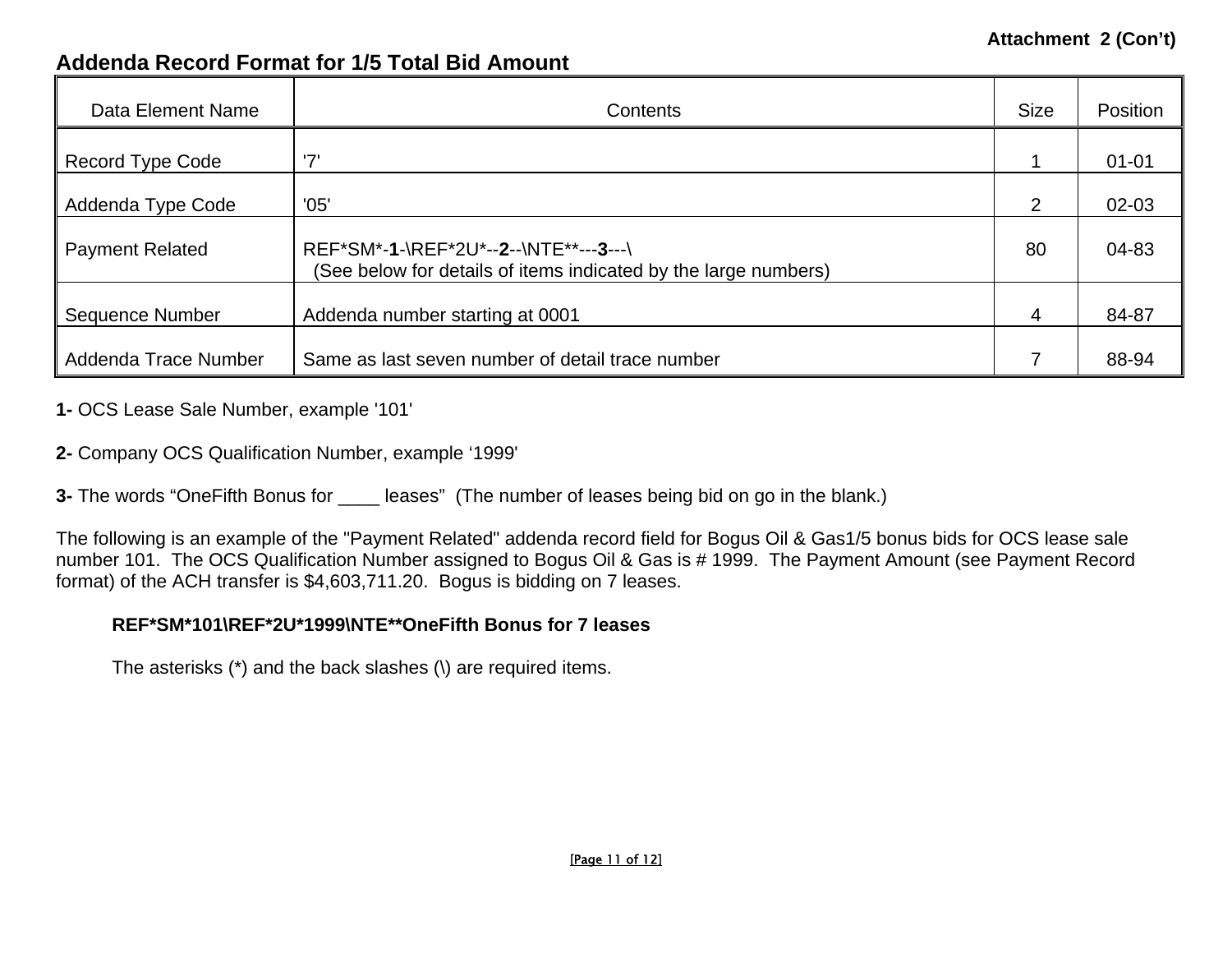#### **Attachment 2 (Con't)**

# **Addenda Record Format for 1/5 Total Bid Amount**

| Data Element Name       | Contents                                                                                                 | <b>Size</b> | Position  |
|-------------------------|----------------------------------------------------------------------------------------------------------|-------------|-----------|
| <b>Record Type Code</b> | '7'                                                                                                      |             | $01 - 01$ |
| Addenda Type Code       | '05'                                                                                                     | 2           | $02 - 03$ |
| <b>Payment Related</b>  | REF*SM*-1-\REF*2U*--2--\NTE**---3---\<br>(See below for details of items indicated by the large numbers) | 80          | 04-83     |
| Sequence Number         | Addenda number starting at 0001                                                                          | 4           | 84-87     |
| Addenda Trace Number    | Same as last seven number of detail trace number                                                         |             | 88-94     |

**1-** OCS Lease Sale Number, example '101'

**2-** Company OCS Qualification Number, example '1999'

**3-** The words "OneFifth Bonus for \_\_\_\_\_ leases" (The number of leases being bid on go in the blank.)

The following is an example of the "Payment Related" addenda record field for Bogus Oil & Gas1/5 bonus bids for OCS lease sale number 101. The OCS Qualification Number assigned to Bogus Oil & Gas is # 1999. The Payment Amount (see Payment Record format) of the ACH transfer is \$4,603,711.20. Bogus is bidding on 7 leases.

#### **REF\*SM\*101\REF\*2U\*1999\NTE\*\*OneFifth Bonus for 7 leases**

The asterisks (\*) and the back slashes (\) are required items.